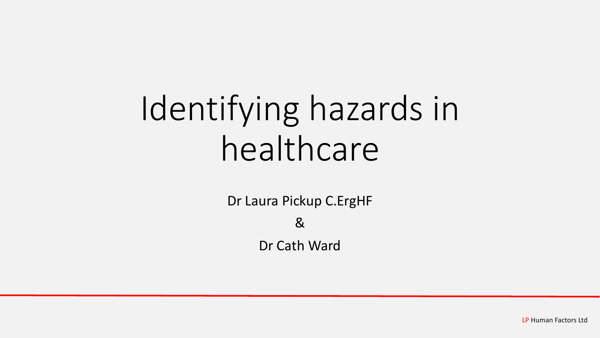# Identifying hazards in healthcare

Dr Laura Pickup C.ErgHF

#### &

Dr Cath Ward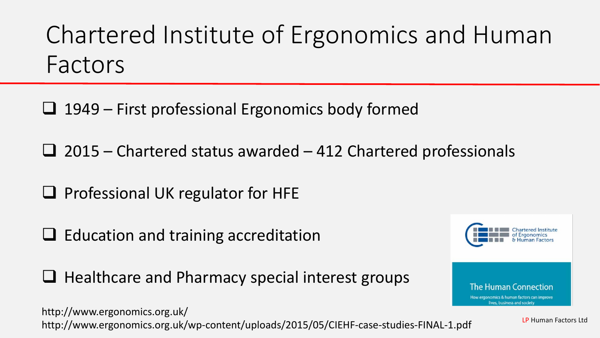Chartered Institute of Ergonomics and Human Factors

 $\Box$  1949 – First professional Ergonomics body formed

 $\Box$  2015 – Chartered status awarded – 412 Chartered professionals

 $\Box$  Professional UK regulator for HFE

 $\Box$  Education and training accreditation

 $\Box$  Healthcare and Pharmacy special interest groups

http://www.ergonomics.org.uk/ http://www.ergonomics.org.uk/wp-content/uploads/2015/05/CIEHF-case-studies-FINAL-1.pdf



LP Human Factors Ltd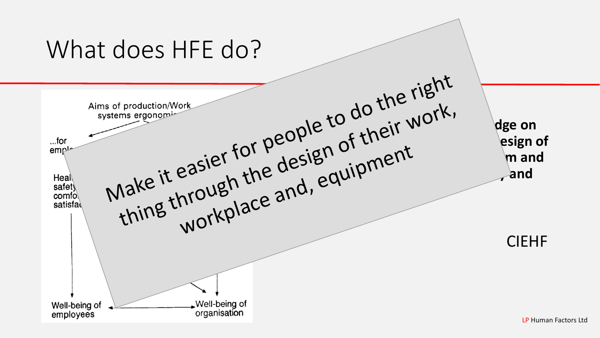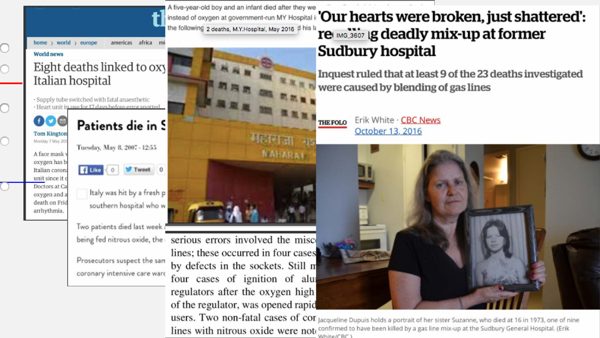

home > world > europe

americas africa m

#### **World news**

 $\bigcirc$ 

 $\overline{O}$ 

Ō

O

#### Eight deaths linked to oxy Italian hospital

· Supply tube switched with fatal anaesthetic · Heart unit in use for 17 days before error spotted



Patients die in S

Tuesday, May 8, 2007 - 12:55

A face mask oxygen has b Italian corona unit since it o Doctors at Ca oxygen and a death on Frid arrhythmia.

 $\left| \right|$  Like  $\left| \right|$  0 Tweet 0

Italy was hit by a fresh p southern hospital who w

Two patients died last week being fed nitrous oxide, the

Prosecutors suspect the sam coronary intensive care ward

A five-year-old boy and an infant died after they we the following 2 deaths, M.Y.Hospital, May 2016 d his la



serious errors involved the misco lines; these occurred in four cases by defects in the sockets. Still m four cases of ignition of alui regulators after the oxygen high of the regulator, was opened rapid

#### instead of oxygen at government-run MY Hospital is 'Our hearts were broken, just shattered': re MG 3607 ig deadly mix-up at former **Sudbury hospital**

Inquest ruled that at least 9 of the 23 deaths investigated were caused by blending of gas lines

Erik White · CBC News **THE FOLO** October 13, 2016



users. Two non-fatal cases of con Jacqueline Dupuis holds a portrait of her sister Suzanne, who died at 16 in 1973, one of nine lines with nitrous oxide were not confirmed to have been killed by a gas line mix-up at the Sudbury General Hospital. (Erik White/CRC )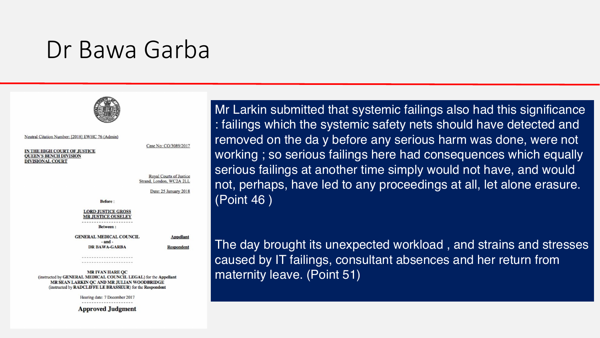#### Dr Bawa Garba



Neutral Citation Number: [2018] EWHC 76 (Admin)

IN THE HIGH COURT OF JUSTICE **QUEEN'S BENCH DIVISION DIVISIONAL COURT** 

Case No: CO/3089/2017

Royal Courts of Justice Strand, London, WC2A 2LL

Date: 25 January 2018

**Before:** 

**LORD JUSTICE GROSS MR JUSTICE OUSELEY** 

**Between:** 

**GENERAL MEDICAL COUNCIL**  $-$ and $-$ **DR BAWA-GARBA** 

Appellant **Respondent** 

---------------------.....................

**MRIVAN HARE OC** (instructed by GENERAL MEDICAL COUNCIL LEGAL) for the Appellant MR SEAN LARKIN QC AND MR JULIAN WOODBRIDGE (instructed by RADCLIFFE LE BRASSEUR) for the Respondent

Hearing date: 7 December 2017

**Approved Judgment** 

Mr Larkin submitted that systemic failings also had this significance : failings which the systemic safety nets should have detected and removed on the day before any serious harm was done, were not working; so serious failings here had consequences which equally serious failings at another time simply would not have, and would not, perhaps, have led to any proceedings at all, let alone erasure. (Point 46)

The day brought its unexpected workload, and strains and stresses caused by IT failings, consultant absences and her return from maternity leave. (Point 51)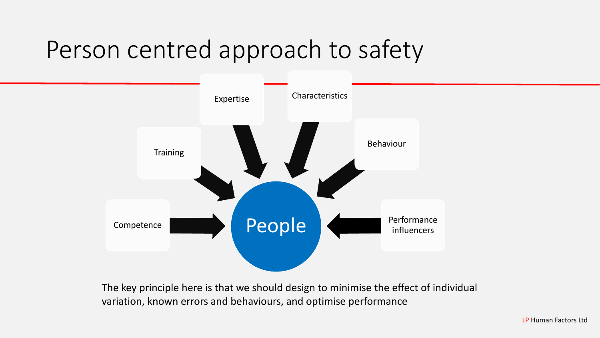## Person centred approach to safety



The key principle here is that we should design to minimise the effect of individual variation, known errors and behaviours, and optimise performance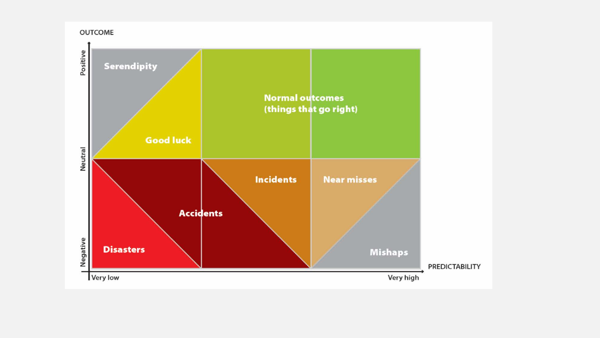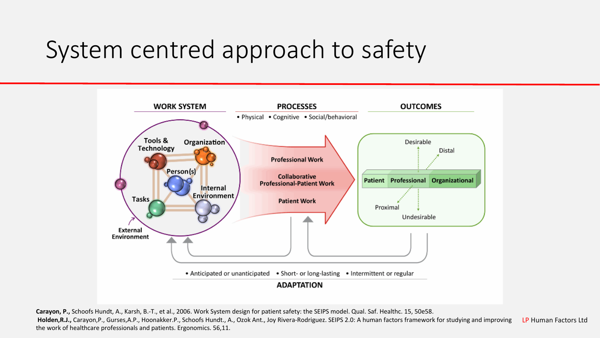# System centred approach to safety



**Carayon, P.,** Schoofs Hundt, A., Karsh, B.-T., et al., 2006. Work System design for patient safety: the SEIPS model. Qual. Saf. Healthc. 15, 50e58.

LP Human Factors Ltd **Holden,R.J.,** Carayon,P., Gurses,A.P., Hoonakker.P., Schoofs Hundt., A., Ozok Ant., Joy Rivera-Rodriguez. SEIPS 2.0: A human factors framework for studying and improving the work of healthcare professionals and patients. Ergonomics. 56,11.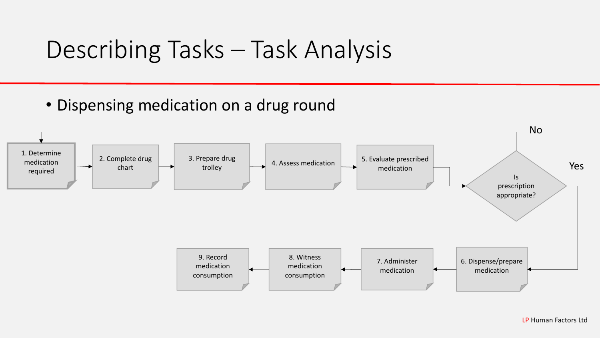### Describing Tasks – Task Analysis

• Dispensing medication on a drug round

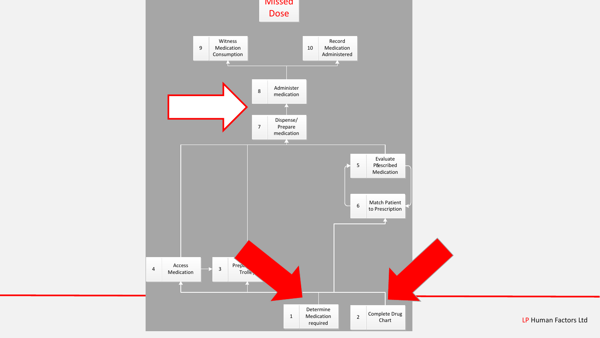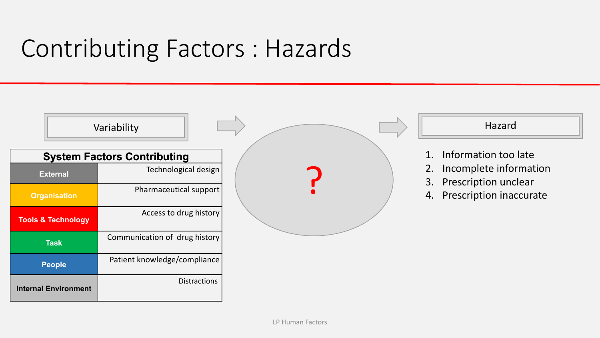# Contributing Factors : Hazards